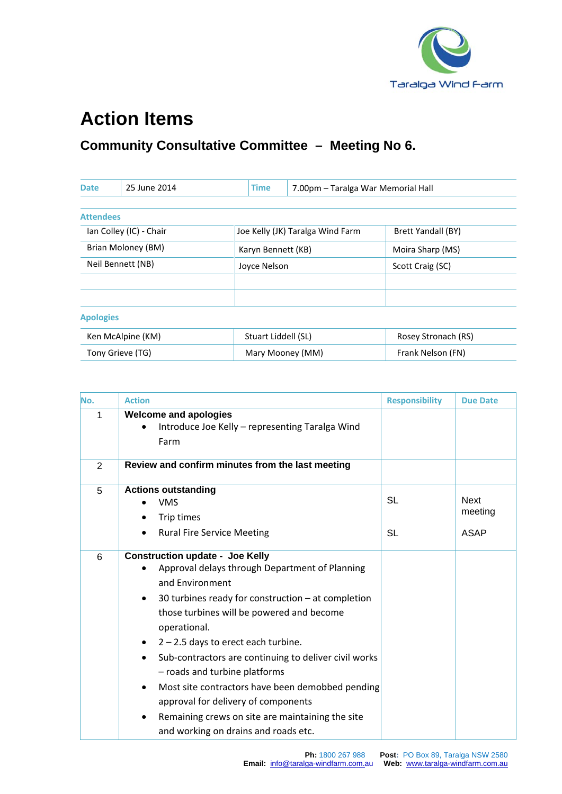

## **Action Items**

## **Community Consultative Committee – Meeting No 6.**

| <b>Date</b>             | 25 June 2014 |  | <b>Time</b>         | 7.00pm - Taralga War Memorial Hall |                           |
|-------------------------|--------------|--|---------------------|------------------------------------|---------------------------|
|                         |              |  |                     |                                    |                           |
| <b>Attendees</b>        |              |  |                     |                                    |                           |
| Ian Colley (IC) - Chair |              |  |                     | Joe Kelly (JK) Taralga Wind Farm   | <b>Brett Yandall (BY)</b> |
| Brian Moloney (BM)      |              |  | Karyn Bennett (KB)  |                                    | Moira Sharp (MS)          |
| Neil Bennett (NB)       |              |  | Joyce Nelson        |                                    | Scott Craig (SC)          |
|                         |              |  |                     |                                    |                           |
|                         |              |  |                     |                                    |                           |
| <b>Apologies</b>        |              |  |                     |                                    |                           |
| Ken McAlpine (KM)       |              |  | Stuart Liddell (SL) |                                    | Rosey Stronach (RS)       |
| Tony Grieve (TG)        |              |  |                     | Mary Mooney (MM)                   | Frank Nelson (FN)         |

| No. | <b>Action</b>                                                                                                                                                                                                                                                                                                                                                                                                                                                                                                                                                                                               | <b>Responsibility</b> | <b>Due Date</b>                |
|-----|-------------------------------------------------------------------------------------------------------------------------------------------------------------------------------------------------------------------------------------------------------------------------------------------------------------------------------------------------------------------------------------------------------------------------------------------------------------------------------------------------------------------------------------------------------------------------------------------------------------|-----------------------|--------------------------------|
| 1   | <b>Welcome and apologies</b><br>Introduce Joe Kelly - representing Taralga Wind<br>Farm                                                                                                                                                                                                                                                                                                                                                                                                                                                                                                                     |                       |                                |
| 2   | Review and confirm minutes from the last meeting                                                                                                                                                                                                                                                                                                                                                                                                                                                                                                                                                            |                       |                                |
| 5   | <b>Actions outstanding</b><br><b>VMS</b><br>Trip times<br><b>Rural Fire Service Meeting</b><br>$\bullet$                                                                                                                                                                                                                                                                                                                                                                                                                                                                                                    | <b>SL</b><br>SL       | <b>Next</b><br>meeting<br>ASAP |
| 6   | <b>Construction update - Joe Kelly</b><br>Approval delays through Department of Planning<br>and Environment<br>30 turbines ready for construction $-$ at completion<br>$\bullet$<br>those turbines will be powered and become<br>operational.<br>$2 - 2.5$ days to erect each turbine.<br>٠<br>Sub-contractors are continuing to deliver civil works<br>$\bullet$<br>- roads and turbine platforms<br>Most site contractors have been demobbed pending<br>$\bullet$<br>approval for delivery of components<br>Remaining crews on site are maintaining the site<br>٠<br>and working on drains and roads etc. |                       |                                |